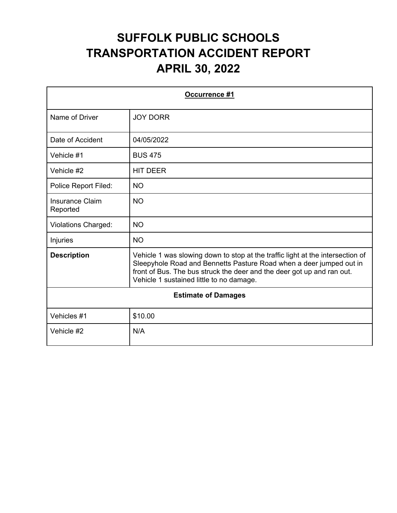| <b>Occurrence #1</b>               |                                                                                                                                                                                                                                                                             |
|------------------------------------|-----------------------------------------------------------------------------------------------------------------------------------------------------------------------------------------------------------------------------------------------------------------------------|
| Name of Driver                     | <b>JOY DORR</b>                                                                                                                                                                                                                                                             |
| Date of Accident                   | 04/05/2022                                                                                                                                                                                                                                                                  |
| Vehicle #1                         | <b>BUS 475</b>                                                                                                                                                                                                                                                              |
| Vehicle #2                         | <b>HIT DEER</b>                                                                                                                                                                                                                                                             |
| Police Report Filed:               | <b>NO</b>                                                                                                                                                                                                                                                                   |
| <b>Insurance Claim</b><br>Reported | <b>NO</b>                                                                                                                                                                                                                                                                   |
| <b>Violations Charged:</b>         | <b>NO</b>                                                                                                                                                                                                                                                                   |
| Injuries                           | <b>NO</b>                                                                                                                                                                                                                                                                   |
| <b>Description</b>                 | Vehicle 1 was slowing down to stop at the traffic light at the intersection of<br>Sleepyhole Road and Bennetts Pasture Road when a deer jumped out in<br>front of Bus. The bus struck the deer and the deer got up and ran out.<br>Vehicle 1 sustained little to no damage. |
| <b>Estimate of Damages</b>         |                                                                                                                                                                                                                                                                             |
| Vehicles #1                        | \$10.00                                                                                                                                                                                                                                                                     |
| Vehicle #2                         | N/A                                                                                                                                                                                                                                                                         |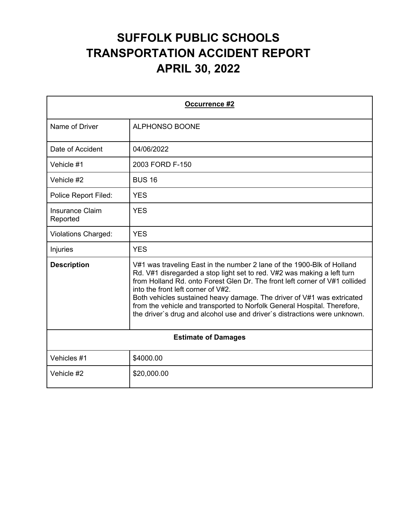| Occurrence #2                      |                                                                                                                                                                                                                                                                                                                                                                                                                                                                                                           |
|------------------------------------|-----------------------------------------------------------------------------------------------------------------------------------------------------------------------------------------------------------------------------------------------------------------------------------------------------------------------------------------------------------------------------------------------------------------------------------------------------------------------------------------------------------|
| Name of Driver                     | <b>ALPHONSO BOONE</b>                                                                                                                                                                                                                                                                                                                                                                                                                                                                                     |
| Date of Accident                   | 04/06/2022                                                                                                                                                                                                                                                                                                                                                                                                                                                                                                |
| Vehicle #1                         | 2003 FORD F-150                                                                                                                                                                                                                                                                                                                                                                                                                                                                                           |
| Vehicle #2                         | <b>BUS 16</b>                                                                                                                                                                                                                                                                                                                                                                                                                                                                                             |
| Police Report Filed:               | <b>YES</b>                                                                                                                                                                                                                                                                                                                                                                                                                                                                                                |
| <b>Insurance Claim</b><br>Reported | <b>YES</b>                                                                                                                                                                                                                                                                                                                                                                                                                                                                                                |
| <b>Violations Charged:</b>         | <b>YES</b>                                                                                                                                                                                                                                                                                                                                                                                                                                                                                                |
| Injuries                           | <b>YES</b>                                                                                                                                                                                                                                                                                                                                                                                                                                                                                                |
| <b>Description</b>                 | V#1 was traveling East in the number 2 lane of the 1900-Blk of Holland<br>Rd. V#1 disregarded a stop light set to red. V#2 was making a left turn<br>from Holland Rd, onto Forest Glen Dr. The front left corner of V#1 collided<br>into the front left corner of V#2.<br>Both vehicles sustained heavy damage. The driver of V#1 was extricated<br>from the vehicle and transported to Norfolk General Hospital. Therefore,<br>the driver's drug and alcohol use and driver's distractions were unknown. |
| <b>Estimate of Damages</b>         |                                                                                                                                                                                                                                                                                                                                                                                                                                                                                                           |
| Vehicles #1                        | \$4000.00                                                                                                                                                                                                                                                                                                                                                                                                                                                                                                 |
| Vehicle #2                         | \$20,000.00                                                                                                                                                                                                                                                                                                                                                                                                                                                                                               |